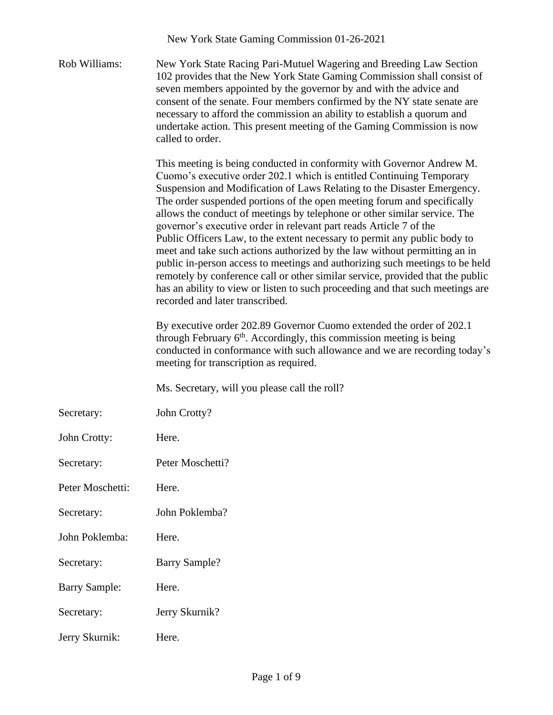|                      | New York State Gaming Commission 01-26-2021                                                                                                                                                                                                                                                                                                                                                                                                                                                                                                                                                                                                                                                                                                                                                                                                                                                             |
|----------------------|---------------------------------------------------------------------------------------------------------------------------------------------------------------------------------------------------------------------------------------------------------------------------------------------------------------------------------------------------------------------------------------------------------------------------------------------------------------------------------------------------------------------------------------------------------------------------------------------------------------------------------------------------------------------------------------------------------------------------------------------------------------------------------------------------------------------------------------------------------------------------------------------------------|
| Rob Williams:        | New York State Racing Pari-Mutuel Wagering and Breeding Law Section<br>102 provides that the New York State Gaming Commission shall consist of<br>seven members appointed by the governor by and with the advice and<br>consent of the senate. Four members confirmed by the NY state senate are<br>necessary to afford the commission an ability to establish a quorum and<br>undertake action. This present meeting of the Gaming Commission is now<br>called to order.                                                                                                                                                                                                                                                                                                                                                                                                                               |
|                      | This meeting is being conducted in conformity with Governor Andrew M.<br>Cuomo's executive order 202.1 which is entitled Continuing Temporary<br>Suspension and Modification of Laws Relating to the Disaster Emergency.<br>The order suspended portions of the open meeting forum and specifically<br>allows the conduct of meetings by telephone or other similar service. The<br>governor's executive order in relevant part reads Article 7 of the<br>Public Officers Law, to the extent necessary to permit any public body to<br>meet and take such actions authorized by the law without permitting an in<br>public in-person access to meetings and authorizing such meetings to be held<br>remotely by conference call or other similar service, provided that the public<br>has an ability to view or listen to such proceeding and that such meetings are<br>recorded and later transcribed. |
|                      | By executive order 202.89 Governor Cuomo extended the order of 202.1<br>through February 6 <sup>th</sup> . Accordingly, this commission meeting is being<br>conducted in conformance with such allowance and we are recording today's<br>meeting for transcription as required.                                                                                                                                                                                                                                                                                                                                                                                                                                                                                                                                                                                                                         |
|                      | Ms. Secretary, will you please call the roll?                                                                                                                                                                                                                                                                                                                                                                                                                                                                                                                                                                                                                                                                                                                                                                                                                                                           |
| Secretary:           | John Crotty?                                                                                                                                                                                                                                                                                                                                                                                                                                                                                                                                                                                                                                                                                                                                                                                                                                                                                            |
| John Crotty:         | Here.                                                                                                                                                                                                                                                                                                                                                                                                                                                                                                                                                                                                                                                                                                                                                                                                                                                                                                   |
| Secretary:           | Peter Moschetti?                                                                                                                                                                                                                                                                                                                                                                                                                                                                                                                                                                                                                                                                                                                                                                                                                                                                                        |
| Peter Moschetti:     | Here.                                                                                                                                                                                                                                                                                                                                                                                                                                                                                                                                                                                                                                                                                                                                                                                                                                                                                                   |
| Secretary:           | John Poklemba?                                                                                                                                                                                                                                                                                                                                                                                                                                                                                                                                                                                                                                                                                                                                                                                                                                                                                          |
| John Poklemba:       | Here.                                                                                                                                                                                                                                                                                                                                                                                                                                                                                                                                                                                                                                                                                                                                                                                                                                                                                                   |
| Secretary:           | <b>Barry Sample?</b>                                                                                                                                                                                                                                                                                                                                                                                                                                                                                                                                                                                                                                                                                                                                                                                                                                                                                    |
| <b>Barry Sample:</b> | Here.                                                                                                                                                                                                                                                                                                                                                                                                                                                                                                                                                                                                                                                                                                                                                                                                                                                                                                   |
| Secretary:           | Jerry Skurnik?                                                                                                                                                                                                                                                                                                                                                                                                                                                                                                                                                                                                                                                                                                                                                                                                                                                                                          |
| Jerry Skurnik:       | Here.                                                                                                                                                                                                                                                                                                                                                                                                                                                                                                                                                                                                                                                                                                                                                                                                                                                                                                   |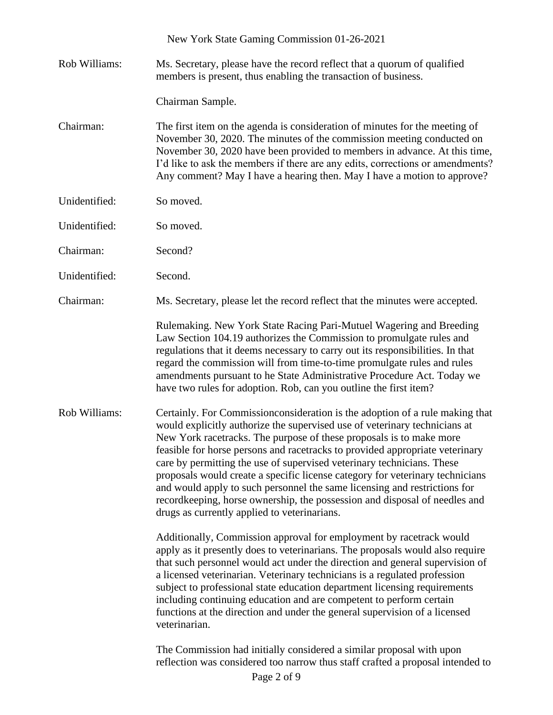|               | New York State Gaming Commission 01-26-2021                                                                                                                                                                                                                                                                                                                                                                                                                                                                                                                                                                                                                                              |
|---------------|------------------------------------------------------------------------------------------------------------------------------------------------------------------------------------------------------------------------------------------------------------------------------------------------------------------------------------------------------------------------------------------------------------------------------------------------------------------------------------------------------------------------------------------------------------------------------------------------------------------------------------------------------------------------------------------|
| Rob Williams: | Ms. Secretary, please have the record reflect that a quorum of qualified<br>members is present, thus enabling the transaction of business.                                                                                                                                                                                                                                                                                                                                                                                                                                                                                                                                               |
|               | Chairman Sample.                                                                                                                                                                                                                                                                                                                                                                                                                                                                                                                                                                                                                                                                         |
| Chairman:     | The first item on the agenda is consideration of minutes for the meeting of<br>November 30, 2020. The minutes of the commission meeting conducted on<br>November 30, 2020 have been provided to members in advance. At this time,<br>I'd like to ask the members if there are any edits, corrections or amendments?<br>Any comment? May I have a hearing then. May I have a motion to approve?                                                                                                                                                                                                                                                                                           |
| Unidentified: | So moved.                                                                                                                                                                                                                                                                                                                                                                                                                                                                                                                                                                                                                                                                                |
| Unidentified: | So moved.                                                                                                                                                                                                                                                                                                                                                                                                                                                                                                                                                                                                                                                                                |
| Chairman:     | Second?                                                                                                                                                                                                                                                                                                                                                                                                                                                                                                                                                                                                                                                                                  |
| Unidentified: | Second.                                                                                                                                                                                                                                                                                                                                                                                                                                                                                                                                                                                                                                                                                  |
| Chairman:     | Ms. Secretary, please let the record reflect that the minutes were accepted.                                                                                                                                                                                                                                                                                                                                                                                                                                                                                                                                                                                                             |
|               | Rulemaking. New York State Racing Pari-Mutuel Wagering and Breeding<br>Law Section 104.19 authorizes the Commission to promulgate rules and<br>regulations that it deems necessary to carry out its responsibilities. In that<br>regard the commission will from time-to-time promulgate rules and rules<br>amendments pursuant to he State Administrative Procedure Act. Today we<br>have two rules for adoption. Rob, can you outline the first item?                                                                                                                                                                                                                                  |
| Rob Williams: | Certainly. For Commission consideration is the adoption of a rule making that<br>would explicitly authorize the supervised use of veterinary technicians at<br>New York racetracks. The purpose of these proposals is to make more<br>feasible for horse persons and racetracks to provided appropriate veterinary<br>care by permitting the use of supervised veterinary technicians. These<br>proposals would create a specific license category for veterinary technicians<br>and would apply to such personnel the same licensing and restrictions for<br>recordkeeping, horse ownership, the possession and disposal of needles and<br>drugs as currently applied to veterinarians. |
|               | Additionally, Commission approval for employment by racetrack would<br>apply as it presently does to veterinarians. The proposals would also require<br>that such personnel would act under the direction and general supervision of<br>a licensed veterinarian. Veterinary technicians is a regulated profession<br>subject to professional state education department licensing requirements<br>including continuing education and are competent to perform certain<br>functions at the direction and under the general supervision of a licensed<br>veterinarian.                                                                                                                     |
|               | The Commission had initially considered a similar proposal with upon<br>reflection was considered too narrow thus staff crafted a proposal intended to                                                                                                                                                                                                                                                                                                                                                                                                                                                                                                                                   |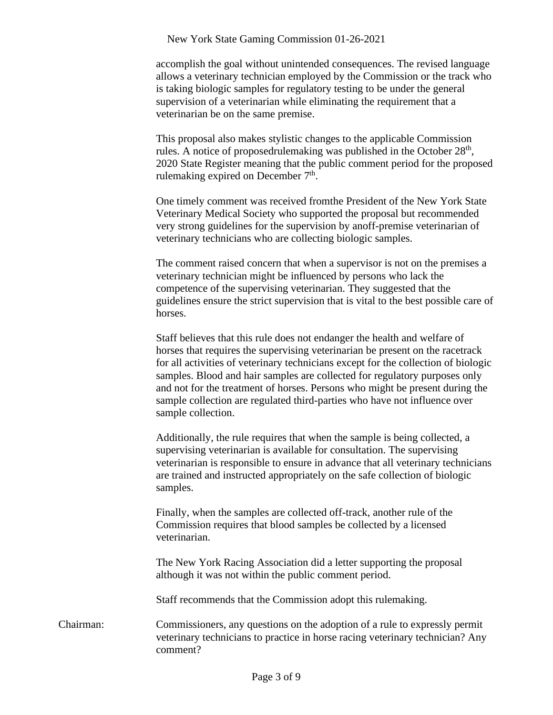accomplish the goal without unintended consequences. The revised language allows a veterinary technician employed by the Commission or the track who is taking biologic samples for regulatory testing to be under the general supervision of a veterinarian while eliminating the requirement that a veterinarian be on the same premise.

This proposal also makes stylistic changes to the applicable Commission rules. A notice of proposedrulemaking was published in the October  $28<sup>th</sup>$ , 2020 State Register meaning that the public comment period for the proposed rulemaking expired on December  $7<sup>th</sup>$ .

One timely comment was received fromthe President of the New York State Veterinary Medical Society who supported the proposal but recommended very strong guidelines for the supervision by anoff-premise veterinarian of veterinary technicians who are collecting biologic samples.

The comment raised concern that when a supervisor is not on the premises a veterinary technician might be influenced by persons who lack the competence of the supervising veterinarian. They suggested that the guidelines ensure the strict supervision that is vital to the best possible care of horses.

Staff believes that this rule does not endanger the health and welfare of horses that requires the supervising veterinarian be present on the racetrack for all activities of veterinary technicians except for the collection of biologic samples. Blood and hair samples are collected for regulatory purposes only and not for the treatment of horses. Persons who might be present during the sample collection are regulated third-parties who have not influence over sample collection.

Additionally, the rule requires that when the sample is being collected, a supervising veterinarian is available for consultation. The supervising veterinarian is responsible to ensure in advance that all veterinary technicians are trained and instructed appropriately on the safe collection of biologic samples.

Finally, when the samples are collected off-track, another rule of the Commission requires that blood samples be collected by a licensed veterinarian.

The New York Racing Association did a letter supporting the proposal although it was not within the public comment period.

Staff recommends that the Commission adopt this rulemaking.

Chairman: Commissioners, any questions on the adoption of a rule to expressly permit veterinary technicians to practice in horse racing veterinary technician? Any comment?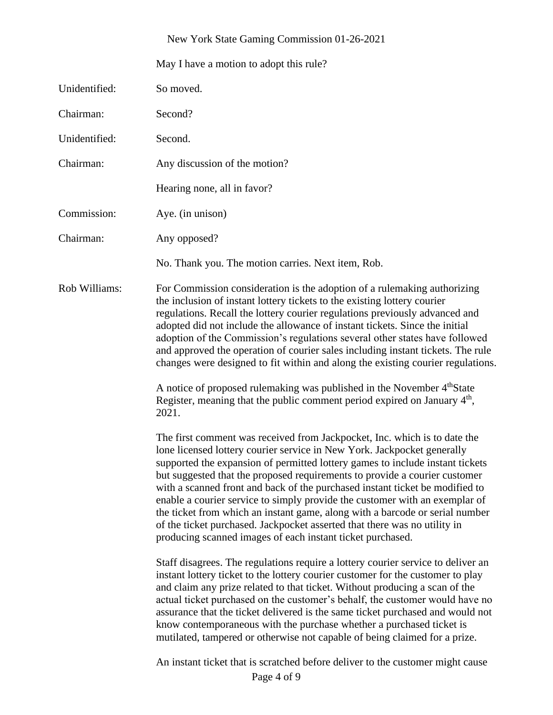May I have a motion to adopt this rule?

| Unidentified: | So moved.                                                                                                                                                                                                                                                                                                                                                                                                                                                                                                                                                                                                                                                                                                     |
|---------------|---------------------------------------------------------------------------------------------------------------------------------------------------------------------------------------------------------------------------------------------------------------------------------------------------------------------------------------------------------------------------------------------------------------------------------------------------------------------------------------------------------------------------------------------------------------------------------------------------------------------------------------------------------------------------------------------------------------|
| Chairman:     | Second?                                                                                                                                                                                                                                                                                                                                                                                                                                                                                                                                                                                                                                                                                                       |
| Unidentified: | Second.                                                                                                                                                                                                                                                                                                                                                                                                                                                                                                                                                                                                                                                                                                       |
| Chairman:     | Any discussion of the motion?                                                                                                                                                                                                                                                                                                                                                                                                                                                                                                                                                                                                                                                                                 |
|               | Hearing none, all in favor?                                                                                                                                                                                                                                                                                                                                                                                                                                                                                                                                                                                                                                                                                   |
| Commission:   | Aye. (in unison)                                                                                                                                                                                                                                                                                                                                                                                                                                                                                                                                                                                                                                                                                              |
| Chairman:     | Any opposed?                                                                                                                                                                                                                                                                                                                                                                                                                                                                                                                                                                                                                                                                                                  |
|               | No. Thank you. The motion carries. Next item, Rob.                                                                                                                                                                                                                                                                                                                                                                                                                                                                                                                                                                                                                                                            |
| Rob Williams: | For Commission consideration is the adoption of a rulemaking authorizing<br>the inclusion of instant lottery tickets to the existing lottery courier<br>regulations. Recall the lottery courier regulations previously advanced and<br>adopted did not include the allowance of instant tickets. Since the initial<br>adoption of the Commission's regulations several other states have followed<br>and approved the operation of courier sales including instant tickets. The rule<br>changes were designed to fit within and along the existing courier regulations.                                                                                                                                       |
|               | A notice of proposed rulemaking was published in the November 4th State<br>Register, meaning that the public comment period expired on January 4 <sup>th</sup> ,<br>2021.                                                                                                                                                                                                                                                                                                                                                                                                                                                                                                                                     |
|               | The first comment was received from Jackpocket, Inc. which is to date the<br>lone licensed lottery courier service in New York. Jackpocket generally<br>supported the expansion of permitted lottery games to include instant tickets<br>but suggested that the proposed requirements to provide a courier customer<br>with a scanned front and back of the purchased instant ticket be modified to<br>enable a courier service to simply provide the customer with an exemplar of<br>the ticket from which an instant game, along with a barcode or serial number<br>of the ticket purchased. Jackpocket asserted that there was no utility in<br>producing scanned images of each instant ticket purchased. |
|               | Staff disagrees. The regulations require a lottery courier service to deliver an<br>instant lottery ticket to the lottery courier customer for the customer to play<br>and claim any prize related to that ticket. Without producing a scan of the<br>actual ticket purchased on the customer's behalf, the customer would have no<br>assurance that the ticket delivered is the same ticket purchased and would not<br>know contemporaneous with the purchase whether a purchased ticket is<br>mutilated, tampered or otherwise not capable of being claimed for a prize.                                                                                                                                    |
|               | An instant ticket that is scratched before deliver to the customer might cause                                                                                                                                                                                                                                                                                                                                                                                                                                                                                                                                                                                                                                |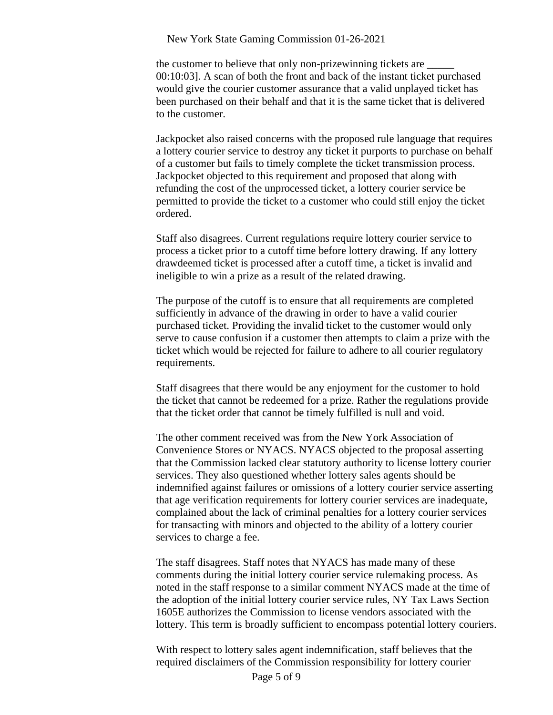the customer to believe that only non-prizewinning tickets are 00:10:03]. A scan of both the front and back of the instant ticket purchased would give the courier customer assurance that a valid unplayed ticket has been purchased on their behalf and that it is the same ticket that is delivered to the customer.

Jackpocket also raised concerns with the proposed rule language that requires a lottery courier service to destroy any ticket it purports to purchase on behalf of a customer but fails to timely complete the ticket transmission process. Jackpocket objected to this requirement and proposed that along with refunding the cost of the unprocessed ticket, a lottery courier service be permitted to provide the ticket to a customer who could still enjoy the ticket ordered.

Staff also disagrees. Current regulations require lottery courier service to process a ticket prior to a cutoff time before lottery drawing. If any lottery drawdeemed ticket is processed after a cutoff time, a ticket is invalid and ineligible to win a prize as a result of the related drawing.

The purpose of the cutoff is to ensure that all requirements are completed sufficiently in advance of the drawing in order to have a valid courier purchased ticket. Providing the invalid ticket to the customer would only serve to cause confusion if a customer then attempts to claim a prize with the ticket which would be rejected for failure to adhere to all courier regulatory requirements.

Staff disagrees that there would be any enjoyment for the customer to hold the ticket that cannot be redeemed for a prize. Rather the regulations provide that the ticket order that cannot be timely fulfilled is null and void.

The other comment received was from the New York Association of Convenience Stores or NYACS. NYACS objected to the proposal asserting that the Commission lacked clear statutory authority to license lottery courier services. They also questioned whether lottery sales agents should be indemnified against failures or omissions of a lottery courier service asserting that age verification requirements for lottery courier services are inadequate, complained about the lack of criminal penalties for a lottery courier services for transacting with minors and objected to the ability of a lottery courier services to charge a fee.

The staff disagrees. Staff notes that NYACS has made many of these comments during the initial lottery courier service rulemaking process. As noted in the staff response to a similar comment NYACS made at the time of the adoption of the initial lottery courier service rules, NY Tax Laws Section 1605E authorizes the Commission to license vendors associated with the lottery. This term is broadly sufficient to encompass potential lottery couriers.

With respect to lottery sales agent indemnification, staff believes that the required disclaimers of the Commission responsibility for lottery courier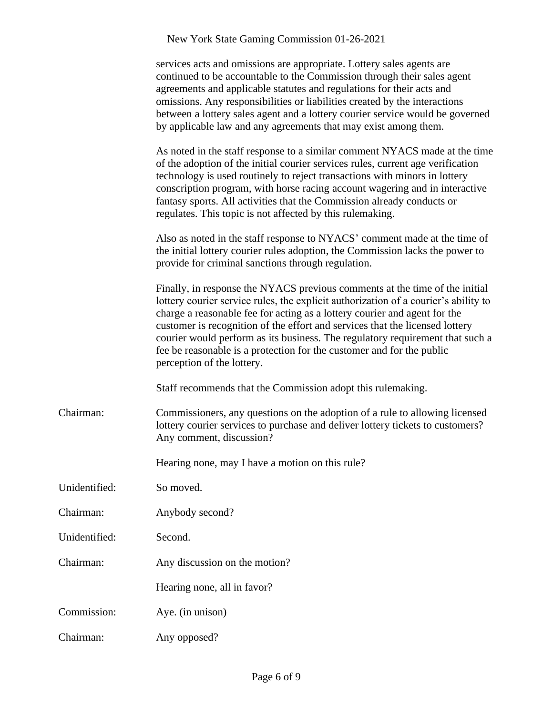| services acts and omissions are appropriate. Lottery sales agents are         |  |  |
|-------------------------------------------------------------------------------|--|--|
| continued to be accountable to the Commission through their sales agent       |  |  |
| agreements and applicable statutes and regulations for their acts and         |  |  |
| omissions. Any responsibilities or liabilities created by the interactions    |  |  |
| between a lottery sales agent and a lottery courier service would be governed |  |  |
| by applicable law and any agreements that may exist among them.               |  |  |

As noted in the staff response to a similar comment NYACS made at the time of the adoption of the initial courier services rules, current age verification technology is used routinely to reject transactions with minors in lottery conscription program, with horse racing account wagering and in interactive fantasy sports. All activities that the Commission already conducts or regulates. This topic is not affected by this rulemaking.

Also as noted in the staff response to NYACS' comment made at the time of the initial lottery courier rules adoption, the Commission lacks the power to provide for criminal sanctions through regulation.

Finally, in response the NYACS previous comments at the time of the initial lottery courier service rules, the explicit authorization of a courier's ability to charge a reasonable fee for acting as a lottery courier and agent for the customer is recognition of the effort and services that the licensed lottery courier would perform as its business. The regulatory requirement that such a fee be reasonable is a protection for the customer and for the public perception of the lottery.

Staff recommends that the Commission adopt this rulemaking.

Chairman: Commissioners, any questions on the adoption of a rule to allowing licensed lottery courier services to purchase and deliver lottery tickets to customers? Any comment, discussion?

Hearing none, may I have a motion on this rule?

Unidentified: So moved.

Chairman: Anybody second?

Unidentified: Second.

Chairman: Any discussion on the motion?

Hearing none, all in favor?

Commission: Aye. (in unison)

Chairman: Any opposed?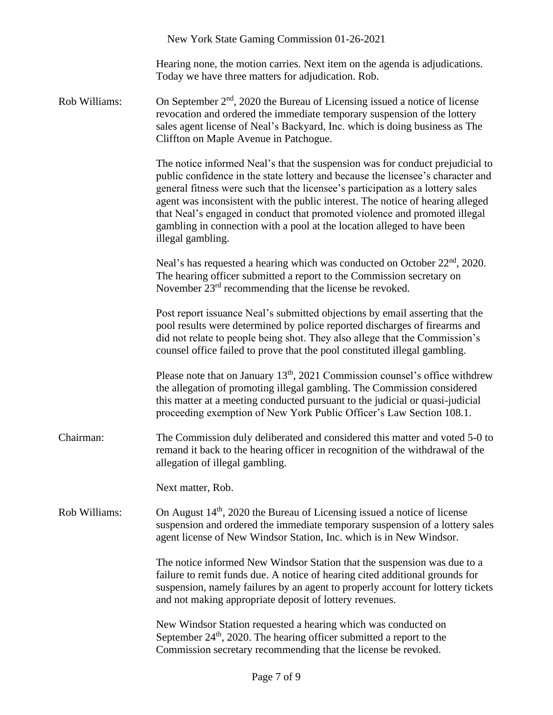|               | New York State Gaming Commission 01-26-2021                                                                                                                                                                                                                                                                                                                                                                                                                                                                        |
|---------------|--------------------------------------------------------------------------------------------------------------------------------------------------------------------------------------------------------------------------------------------------------------------------------------------------------------------------------------------------------------------------------------------------------------------------------------------------------------------------------------------------------------------|
|               | Hearing none, the motion carries. Next item on the agenda is adjudications.<br>Today we have three matters for adjudication. Rob.                                                                                                                                                                                                                                                                                                                                                                                  |
| Rob Williams: | On September $2nd$ , 2020 the Bureau of Licensing issued a notice of license<br>revocation and ordered the immediate temporary suspension of the lottery<br>sales agent license of Neal's Backyard, Inc. which is doing business as The<br>Cliffton on Maple Avenue in Patchogue.                                                                                                                                                                                                                                  |
|               | The notice informed Neal's that the suspension was for conduct prejudicial to<br>public confidence in the state lottery and because the licensee's character and<br>general fitness were such that the licensee's participation as a lottery sales<br>agent was inconsistent with the public interest. The notice of hearing alleged<br>that Neal's engaged in conduct that promoted violence and promoted illegal<br>gambling in connection with a pool at the location alleged to have been<br>illegal gambling. |
|               | Neal's has requested a hearing which was conducted on October 22 <sup>nd</sup> , 2020.<br>The hearing officer submitted a report to the Commission secretary on<br>November 23 <sup>rd</sup> recommending that the license be revoked.                                                                                                                                                                                                                                                                             |
|               | Post report issuance Neal's submitted objections by email asserting that the<br>pool results were determined by police reported discharges of firearms and<br>did not relate to people being shot. They also allege that the Commission's<br>counsel office failed to prove that the pool constituted illegal gambling.                                                                                                                                                                                            |
|               | Please note that on January $13th$ , 2021 Commission counsel's office withdrew<br>the allegation of promoting illegal gambling. The Commission considered<br>this matter at a meeting conducted pursuant to the judicial or quasi-judicial<br>proceeding exemption of New York Public Officer's Law Section 108.1.                                                                                                                                                                                                 |
| Chairman:     | The Commission duly deliberated and considered this matter and voted 5-0 to<br>remand it back to the hearing officer in recognition of the withdrawal of the<br>allegation of illegal gambling.                                                                                                                                                                                                                                                                                                                    |
|               | Next matter, Rob.                                                                                                                                                                                                                                                                                                                                                                                                                                                                                                  |
| Rob Williams: | On August $14th$ , 2020 the Bureau of Licensing issued a notice of license<br>suspension and ordered the immediate temporary suspension of a lottery sales<br>agent license of New Windsor Station, Inc. which is in New Windsor.                                                                                                                                                                                                                                                                                  |
|               | The notice informed New Windsor Station that the suspension was due to a<br>failure to remit funds due. A notice of hearing cited additional grounds for<br>suspension, namely failures by an agent to properly account for lottery tickets<br>and not making appropriate deposit of lottery revenues.                                                                                                                                                                                                             |
|               | New Windsor Station requested a hearing which was conducted on<br>September $24th$ , 2020. The hearing officer submitted a report to the<br>Commission secretary recommending that the license be revoked.                                                                                                                                                                                                                                                                                                         |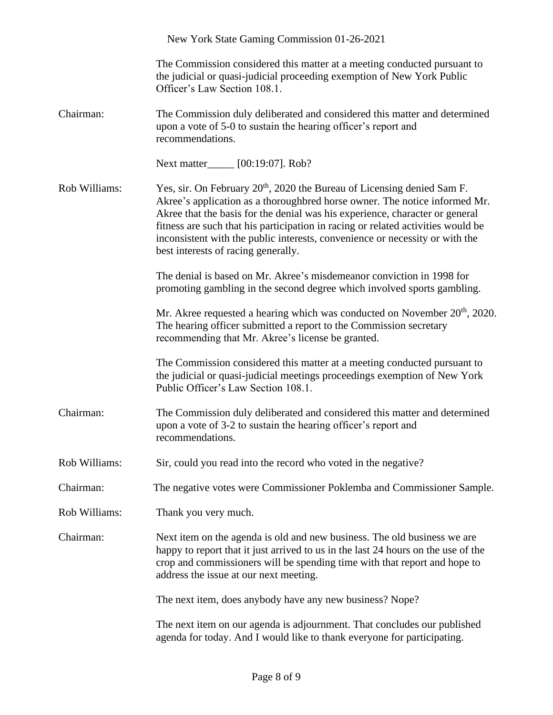|               | New York State Gaming Commission 01-26-2021                                                                                                                                                                                                                                                                                                                                                                                                                  |
|---------------|--------------------------------------------------------------------------------------------------------------------------------------------------------------------------------------------------------------------------------------------------------------------------------------------------------------------------------------------------------------------------------------------------------------------------------------------------------------|
|               | The Commission considered this matter at a meeting conducted pursuant to<br>the judicial or quasi-judicial proceeding exemption of New York Public<br>Officer's Law Section 108.1.                                                                                                                                                                                                                                                                           |
| Chairman:     | The Commission duly deliberated and considered this matter and determined<br>upon a vote of 5-0 to sustain the hearing officer's report and<br>recommendations.                                                                                                                                                                                                                                                                                              |
|               | Next matter_____ [00:19:07]. Rob?                                                                                                                                                                                                                                                                                                                                                                                                                            |
| Rob Williams: | Yes, sir. On February 20 <sup>th</sup> , 2020 the Bureau of Licensing denied Sam F.<br>Akree's application as a thoroughbred horse owner. The notice informed Mr.<br>Akree that the basis for the denial was his experience, character or general<br>fitness are such that his participation in racing or related activities would be<br>inconsistent with the public interests, convenience or necessity or with the<br>best interests of racing generally. |
|               | The denial is based on Mr. Akree's misdemeanor conviction in 1998 for<br>promoting gambling in the second degree which involved sports gambling.                                                                                                                                                                                                                                                                                                             |
|               | Mr. Akree requested a hearing which was conducted on November 20 <sup>th</sup> , 2020.<br>The hearing officer submitted a report to the Commission secretary<br>recommending that Mr. Akree's license be granted.                                                                                                                                                                                                                                            |
|               | The Commission considered this matter at a meeting conducted pursuant to<br>the judicial or quasi-judicial meetings proceedings exemption of New York<br>Public Officer's Law Section 108.1.                                                                                                                                                                                                                                                                 |
| Chairman:     | The Commission duly deliberated and considered this matter and determined<br>upon a vote of 3-2 to sustain the hearing officer's report and<br>recommendations.                                                                                                                                                                                                                                                                                              |
| Rob Williams: | Sir, could you read into the record who voted in the negative?                                                                                                                                                                                                                                                                                                                                                                                               |
| Chairman:     | The negative votes were Commissioner Poklemba and Commissioner Sample.                                                                                                                                                                                                                                                                                                                                                                                       |
| Rob Williams: | Thank you very much.                                                                                                                                                                                                                                                                                                                                                                                                                                         |
| Chairman:     | Next item on the agenda is old and new business. The old business we are<br>happy to report that it just arrived to us in the last 24 hours on the use of the<br>crop and commissioners will be spending time with that report and hope to<br>address the issue at our next meeting.                                                                                                                                                                         |
|               | The next item, does anybody have any new business? Nope?                                                                                                                                                                                                                                                                                                                                                                                                     |
|               | The next item on our agenda is adjournment. That concludes our published<br>agenda for today. And I would like to thank everyone for participating.                                                                                                                                                                                                                                                                                                          |